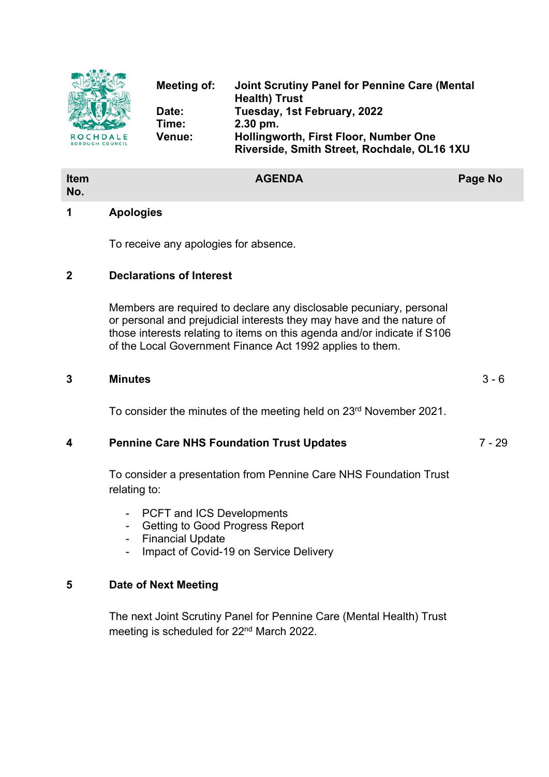

| <b>AGENDA</b> | Page No |
|---------------|---------|
|               |         |

#### **1 Apologies**

**Item No.**

To receive any apologies for absence.

### **2 Declarations of Interest**

Members are required to declare any disclosable pecuniary, personal or personal and prejudicial interests they may have and the nature of those interests relating to items on this agenda and/or indicate if S106 of the Local Government Finance Act 1992 applies to them.

#### **3 Minutes** 3 - 6

To consider the minutes of the meeting held on 23rd November 2021.

# **4 Pennine Care NHS Foundation Trust Updates** 7 - 29

To consider a presentation from Pennine Care NHS Foundation Trust relating to:

- PCFT and ICS Developments
- Getting to Good Progress Report
- Financial Update
- Impact of Covid-19 on Service Delivery

# **5 Date of Next Meeting**

The next Joint Scrutiny Panel for Pennine Care (Mental Health) Trust meeting is scheduled for 22nd March 2022.